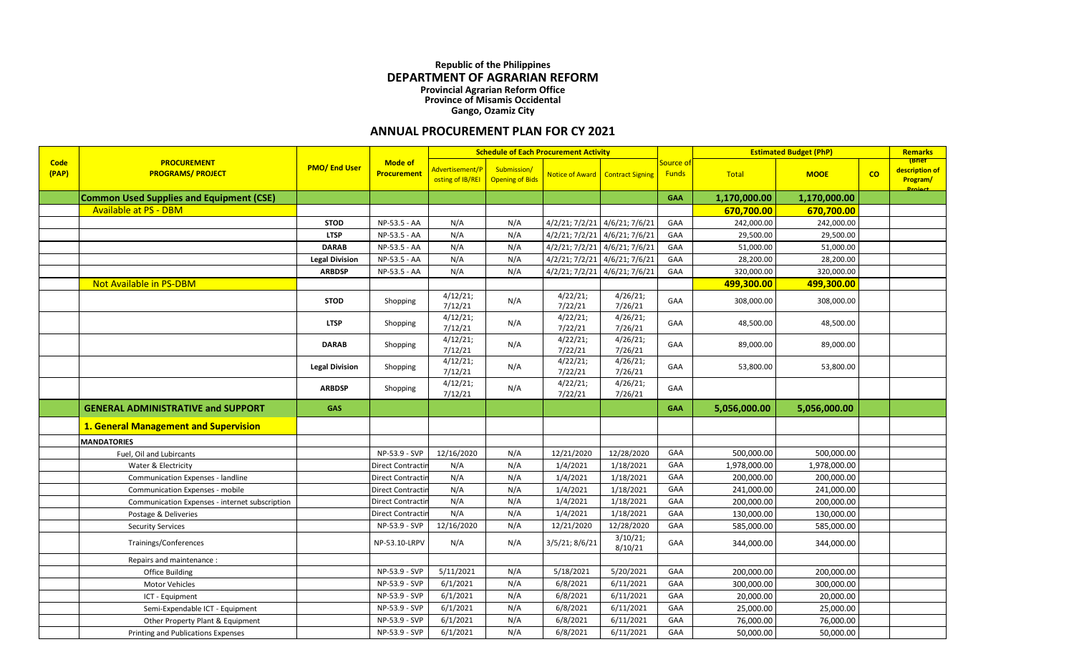## **Republic of the Philippines DEPARTMENT OF AGRARIAN REFORM Provincial Agrarian Reform Office Province of Misamis Occidental Gango, Ozamiz City**

## **ANNUAL PROCUREMENT PLAN FOR CY 2021**

|                      |                                                 |                       |                                      | <b>Schedule of Each Procurement Activity</b> |                                       |                               |                               |                           |              | <b>Estimated Budget (PhP)</b> |    |                                                        |
|----------------------|-------------------------------------------------|-----------------------|--------------------------------------|----------------------------------------------|---------------------------------------|-------------------------------|-------------------------------|---------------------------|--------------|-------------------------------|----|--------------------------------------------------------|
| <b>Code</b><br>(PAP) | <b>PROCUREMENT</b><br><b>PROGRAMS/ PROJECT</b>  | <b>PMO/End User</b>   | <b>Mode of</b><br><b>Procurement</b> | <u>\dvertisement/P_</u><br>osting of IB/REI  | Submission/<br><b>Opening of Bids</b> | <b>Notice of Award</b>        | <b>Contract Signing</b>       | Source of<br><b>Funds</b> | Total        | <b>MOOE</b>                   | co | (Brief<br>description of<br>Program/<br><b>Droject</b> |
|                      | <b>Common Used Supplies and Equipment (CSE)</b> |                       |                                      |                                              |                                       |                               |                               | <b>GAA</b>                | 1,170,000.00 | 1,170,000.00                  |    |                                                        |
|                      | <b>Available at PS - DBM</b>                    |                       |                                      |                                              |                                       |                               |                               |                           | 670,700.00   | 670,700.00                    |    |                                                        |
|                      |                                                 | <b>STOD</b>           | NP-53.5 - AA                         | N/A                                          | N/A                                   | 4/2/21; 7/2/21                | 4/6/21; 7/6/21                | GAA                       | 242,000.00   | 242,000.00                    |    |                                                        |
|                      |                                                 | <b>LTSP</b>           | NP-53.5 - AA                         | N/A                                          | N/A                                   |                               | 4/2/21; 7/2/21 4/6/21; 7/6/21 | GAA                       | 29,500.00    | 29,500.00                     |    |                                                        |
|                      |                                                 | <b>DARAB</b>          | NP-53.5 - AA                         | N/A                                          | N/A                                   | 4/2/21; 7/2/21 4/6/21; 7/6/21 |                               | GAA                       | 51,000.00    | 51,000.00                     |    |                                                        |
|                      |                                                 | <b>Legal Division</b> | NP-53.5 - AA                         | N/A                                          | N/A                                   | $4/2/21$ ; $7/2/21$           | 4/6/21; 7/6/21                | GAA                       | 28,200.00    | 28,200.00                     |    |                                                        |
|                      |                                                 | <b>ARBDSP</b>         | NP-53.5 - AA                         | N/A                                          | N/A                                   | 4/2/21; 7/2/21                | 4/6/21; 7/6/21                | GAA                       | 320,000.00   | 320,000.00                    |    |                                                        |
|                      | <b>Not Available in PS-DBM</b>                  |                       |                                      |                                              |                                       |                               |                               |                           | 499,300.00   | 499,300.00                    |    |                                                        |
|                      |                                                 | <b>STOD</b>           | Shopping                             | 4/12/21;<br>7/12/21                          | N/A                                   | 4/22/21;<br>7/22/21           | 4/26/21;<br>7/26/21           | GAA                       | 308,000.00   | 308,000.00                    |    |                                                        |
|                      |                                                 | <b>LTSP</b>           | Shopping                             | 4/12/21;<br>7/12/21                          | N/A                                   | 4/22/21;<br>7/22/21           | 4/26/21;<br>7/26/21           | GAA                       | 48,500.00    | 48,500.00                     |    |                                                        |
|                      |                                                 | <b>DARAB</b>          | Shopping                             | 4/12/21;<br>7/12/21                          | N/A                                   | 4/22/21;<br>7/22/21           | 4/26/21;<br>7/26/21           | GAA                       | 89,000.00    | 89,000.00                     |    |                                                        |
|                      |                                                 | <b>Legal Division</b> | Shopping                             | 4/12/21;<br>7/12/21                          | N/A                                   | 4/22/21;<br>7/22/21           | 4/26/21;<br>7/26/21           | GAA                       | 53,800.00    | 53,800.00                     |    |                                                        |
|                      |                                                 | <b>ARBDSP</b>         | Shopping                             | 4/12/21;<br>7/12/21                          | N/A                                   | 4/22/21;<br>7/22/21           | 4/26/21;<br>7/26/21           | GAA                       |              |                               |    |                                                        |
|                      | <b>GENERAL ADMINISTRATIVE and SUPPORT</b>       | <b>GAS</b>            |                                      |                                              |                                       |                               |                               | <b>GAA</b>                | 5,056,000.00 | 5,056,000.00                  |    |                                                        |
|                      | 1. General Management and Supervision           |                       |                                      |                                              |                                       |                               |                               |                           |              |                               |    |                                                        |
|                      | <b>MANDATORIES</b>                              |                       |                                      |                                              |                                       |                               |                               |                           |              |                               |    |                                                        |
|                      | Fuel, Oil and Lubircants                        |                       | NP-53.9 - SVP                        | 12/16/2020                                   | N/A                                   | 12/21/2020                    | 12/28/2020                    | GAA                       | 500,000.00   | 500,000.00                    |    |                                                        |
|                      | Water & Electricity                             |                       | Direct Contracti                     | N/A                                          | N/A                                   | 1/4/2021                      | 1/18/2021                     | GAA                       | 1,978,000.00 | 1,978,000.00                  |    |                                                        |
|                      | Communication Expenses - landline               |                       | Direct Contracti                     | N/A                                          | N/A                                   | 1/4/2021                      | 1/18/2021                     | GAA                       | 200,000.00   | 200,000.00                    |    |                                                        |
|                      | Communication Expenses - mobile                 |                       | Direct Contracti                     | N/A                                          | N/A                                   | 1/4/2021                      | 1/18/2021                     | GAA                       | 241,000.00   | 241,000.00                    |    |                                                        |
|                      | Communication Expenses - internet subscription  |                       | Direct Contracti                     | N/A                                          | N/A                                   | 1/4/2021                      | 1/18/2021                     | GAA                       | 200,000.00   | 200,000.00                    |    |                                                        |
|                      | Postage & Deliveries                            |                       | Direct Contractiı                    | N/A                                          | N/A                                   | 1/4/2021                      | 1/18/2021                     | GAA                       | 130,000.00   | 130,000.00                    |    |                                                        |
|                      | <b>Security Services</b>                        |                       | NP-53.9 - SVP                        | 12/16/2020                                   | N/A                                   | 12/21/2020                    | 12/28/2020                    | GAA                       | 585,000.00   | 585,000.00                    |    |                                                        |
|                      | Trainings/Conferences                           |                       | NP-53.10-LRPV                        | N/A                                          | N/A                                   | $3/5/21$ ; $8/6/21$           | 3/10/21;<br>8/10/21           | GAA                       | 344,000.00   | 344,000.00                    |    |                                                        |
|                      | Repairs and maintenance :                       |                       |                                      |                                              |                                       |                               |                               |                           |              |                               |    |                                                        |
|                      | <b>Office Building</b>                          |                       | NP-53.9 - SVP                        | 5/11/2021                                    | N/A                                   | 5/18/2021                     | 5/20/2021                     | GAA                       | 200,000.00   | 200,000.00                    |    |                                                        |
|                      | Motor Vehicles                                  |                       | NP-53.9 - SVP                        | 6/1/2021                                     | N/A                                   | 6/8/2021                      | 6/11/2021                     | GAA                       | 300,000.00   | 300,000.00                    |    |                                                        |
|                      | ICT - Equipment                                 |                       | NP-53.9 - SVP                        | 6/1/2021                                     | N/A                                   | 6/8/2021                      | 6/11/2021                     | GAA                       | 20,000.00    | 20,000.00                     |    |                                                        |
|                      | Semi-Expendable ICT - Equipment                 |                       | NP-53.9 - SVP                        | 6/1/2021                                     | N/A                                   | 6/8/2021                      | 6/11/2021                     | GAA                       | 25,000.00    | 25,000.00                     |    |                                                        |
|                      | Other Property Plant & Equipment                |                       | NP-53.9 - SVP                        | 6/1/2021                                     | N/A                                   | 6/8/2021                      | 6/11/2021                     | GAA                       | 76,000.00    | 76,000.00                     |    |                                                        |
|                      | <b>Printing and Publications Expenses</b>       |                       | NP-53.9 - SVP                        | 6/1/2021                                     | N/A                                   | 6/8/2021                      | 6/11/2021                     | GAA                       | 50,000.00    | 50,000.00                     |    |                                                        |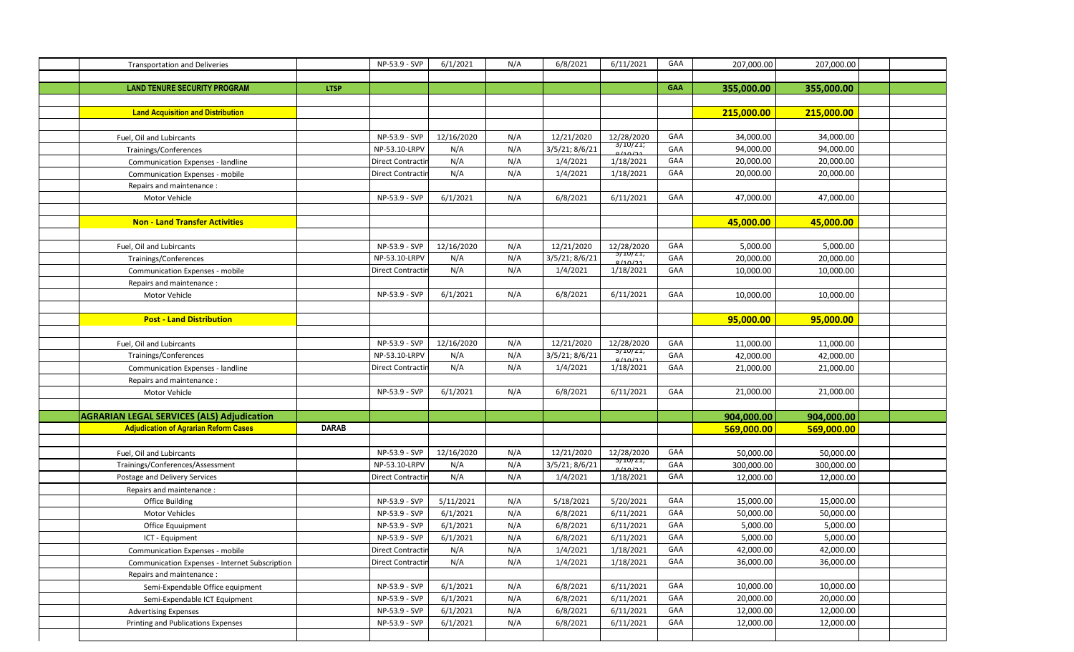| <b>Transportation and Deliveries</b>                  |              | NP-53.9 - SVP             | 6/1/2021   | N/A | 6/8/2021       | 6/11/2021           | GAA        | 207,000.00 | 207,000.00 |  |
|-------------------------------------------------------|--------------|---------------------------|------------|-----|----------------|---------------------|------------|------------|------------|--|
|                                                       |              |                           |            |     |                |                     |            |            |            |  |
| <b>LAND TENURE SECURITY PROGRAM</b>                   | <b>LTSP</b>  |                           |            |     |                |                     | <b>GAA</b> | 355,000.00 | 355,000.00 |  |
|                                                       |              |                           |            |     |                |                     |            |            |            |  |
| <b>Land Acquisition and Distribution</b>              |              |                           |            |     |                |                     |            | 215,000.00 | 215,000.00 |  |
|                                                       |              |                           |            |     |                |                     |            |            |            |  |
| Fuel, Oil and Lubircants                              |              | NP-53.9 - SVP             | 12/16/2020 | N/A | 12/21/2020     | 12/28/2020          | GAA        | 34,000.00  | 34,000.00  |  |
| Trainings/Conferences                                 |              | NP-53.10-LRPV             | N/A        | N/A | 3/5/21; 8/6/21 | 3/10/21;<br>110/21  | GAA        | 94,000.00  | 94,000.00  |  |
| Communication Expenses - landline                     |              | Direct Contracti          | N/A        | N/A | 1/4/2021       | 1/18/2021           | GAA        | 20,000.00  | 20,000.00  |  |
| Communication Expenses - mobile                       |              | Direct Contracti          | N/A        | N/A | 1/4/2021       | 1/18/2021           | GAA        | 20,000.00  | 20,000.00  |  |
| Repairs and maintenance :                             |              |                           |            |     |                |                     |            |            |            |  |
| Motor Vehicle                                         |              | NP-53.9 - SVP             | 6/1/2021   | N/A | 6/8/2021       | 6/11/2021           | GAA        | 47,000.00  | 47,000.00  |  |
|                                                       |              |                           |            |     |                |                     |            |            |            |  |
| <b>Non - Land Transfer Activities</b>                 |              |                           |            |     |                |                     |            | 45,000.00  | 45,000.00  |  |
|                                                       |              |                           |            |     |                |                     |            |            |            |  |
| Fuel, Oil and Lubircants                              |              | NP-53.9 - SVP             | 12/16/2020 | N/A | 12/21/2020     | 12/28/2020          | GAA        | 5,000.00   | 5,000.00   |  |
| Trainings/Conferences                                 |              | NP-53.10-LRPV             | N/A        | N/A | 3/5/21; 8/6/21 | 3/10/21;<br>0/10/21 | GAA        | 20,000.00  | 20,000.00  |  |
| Communication Expenses - mobile                       |              | Direct Contracti          | N/A        | N/A | 1/4/2021       | 1/18/2021           | GAA        | 10,000.00  | 10,000.00  |  |
| Repairs and maintenance:                              |              |                           |            |     |                |                     |            |            |            |  |
| Motor Vehicle                                         |              | NP-53.9 - SVP             | 6/1/2021   | N/A | 6/8/2021       | 6/11/2021           | GAA        | 10,000.00  | 10,000.00  |  |
|                                                       |              |                           |            |     |                |                     |            |            |            |  |
| <b>Post - Land Distribution</b>                       |              |                           |            |     |                |                     |            | 95,000.00  | 95,000.00  |  |
|                                                       |              |                           |            |     |                |                     |            |            |            |  |
| Fuel, Oil and Lubircants                              |              | NP-53.9 - SVP             | 12/16/2020 | N/A | 12/21/2020     | 12/28/2020          | GAA        | 11,000.00  | 11,000.00  |  |
| Trainings/Conferences                                 |              | NP-53.10-LRPV             | N/A        | N/A | 3/5/21; 8/6/21 | 3/10/21;<br>110121  | GAA        | 42,000.00  | 42,000.00  |  |
| Communication Expenses - landline                     |              | Direct Contracti          | N/A        | N/A | 1/4/2021       | 1/18/2021           | GAA        | 21,000.00  | 21,000.00  |  |
| Repairs and maintenance :                             |              |                           |            |     |                |                     |            |            |            |  |
| Motor Vehicle                                         |              | NP-53.9 - SVP             | 6/1/2021   | N/A | 6/8/2021       | 6/11/2021           | GAA        | 21,000.00  | 21,000.00  |  |
|                                                       |              |                           |            |     |                |                     |            |            |            |  |
| <b>AGRARIAN LEGAL SERVICES (ALS) Adjudication</b>     |              |                           |            |     |                |                     |            | 904,000.00 | 904,000.00 |  |
| <b>Adjudication of Agrarian Reform Cases</b>          | <b>DARAB</b> |                           |            |     |                |                     |            | 569,000.00 | 569,000.00 |  |
|                                                       |              |                           |            |     |                |                     |            |            |            |  |
| Fuel, Oil and Lubircants                              |              | NP-53.9 - SVP             | 12/16/2020 | N/A | 12/21/2020     | 12/28/2020          | GAA        | 50,000.00  | 50,000.00  |  |
| Trainings/Conferences/Assessment                      |              | NP-53.10-LRPV             | N/A        | N/A | 3/5/21; 8/6/21 | 3/1U/Z1;<br>14012   | GAA        | 300,000.00 | 300,000.00 |  |
| Postage and Delivery Services                         |              | <b>Direct Contraction</b> | N/A        | N/A | 1/4/2021       | 1/18/2021           | GAA        | 12,000.00  | 12,000.00  |  |
| Repairs and maintenance:                              |              |                           |            |     |                |                     |            |            |            |  |
| <b>Office Building</b>                                |              | NP-53.9 - SVP             | 5/11/2021  | N/A | 5/18/2021      | 5/20/2021           | GAA        | 15,000.00  | 15,000.00  |  |
| Motor Vehicles                                        |              | NP-53.9 - SVP             | 6/1/2021   | N/A | 6/8/2021       | 6/11/2021           | GAA        | 50,000.00  | 50,000.00  |  |
| <b>Office Equuipment</b>                              |              | NP-53.9 - SVP             | 6/1/2021   | N/A | 6/8/2021       | 6/11/2021           | GAA        | 5,000.00   | 5,000.00   |  |
| ICT - Equipment                                       |              | NP-53.9 - SVP             | 6/1/2021   | N/A | 6/8/2021       | 6/11/2021           | GAA        | 5,000.00   | 5,000.00   |  |
| Communication Expenses - mobile                       |              | <b>Direct Contractir</b>  | N/A        | N/A | 1/4/2021       | 1/18/2021           | GAA        | 42,000.00  | 42,000.00  |  |
| <b>Communication Expenses - Internet Subscription</b> |              | Direct Contracti          | N/A        | N/A | 1/4/2021       | 1/18/2021           | GAA        | 36,000.00  | 36,000.00  |  |
| Repairs and maintenance :                             |              |                           |            |     |                |                     |            |            |            |  |
| Semi-Expendable Office equipment                      |              | NP-53.9 - SVP             | 6/1/2021   | N/A | 6/8/2021       | 6/11/2021           | GAA        | 10,000.00  | 10,000.00  |  |
| Semi-Expendable ICT Equipment                         |              | NP-53.9 - SVP             | 6/1/2021   | N/A | 6/8/2021       | 6/11/2021           | GAA        | 20,000.00  | 20,000.00  |  |
| <b>Advertising Expenses</b>                           |              | NP-53.9 - SVP             | 6/1/2021   | N/A | 6/8/2021       | 6/11/2021           | GAA        | 12,000.00  | 12,000.00  |  |
| Printing and Publications Expenses                    |              | NP-53.9 - SVP             | 6/1/2021   | N/A | 6/8/2021       | 6/11/2021           | GAA        | 12,000.00  | 12,000.00  |  |
|                                                       |              |                           |            |     |                |                     |            |            |            |  |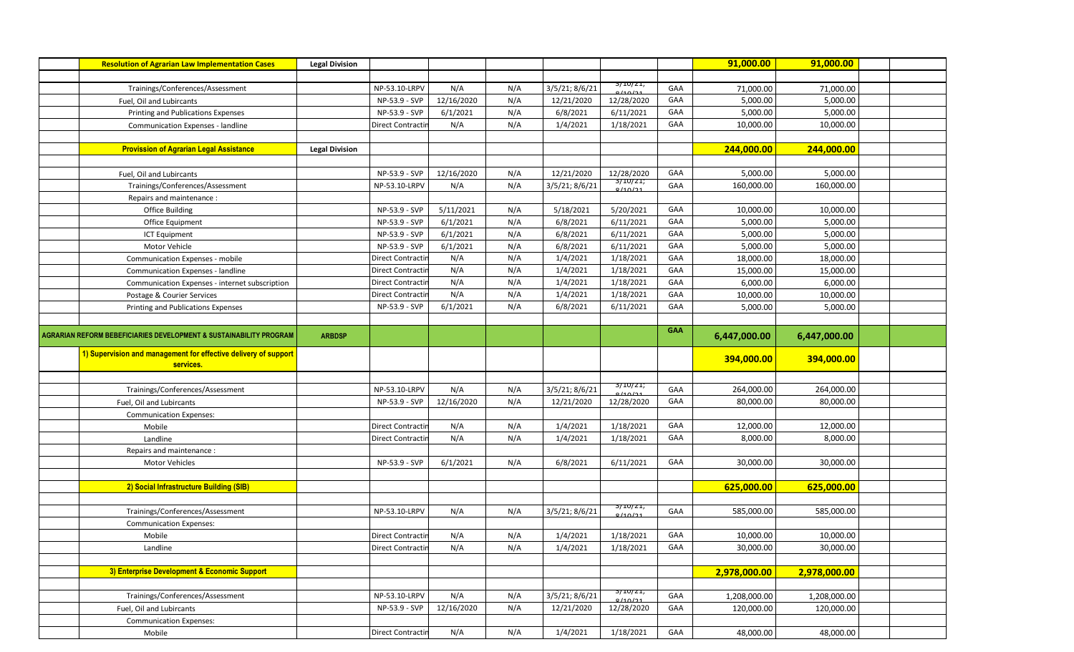| <b>Resolution of Agrarian Law Implementation Cases</b>                       | <b>Legal Division</b> |                          |            |     |                |                     |            | 91,000.00    | 91,000.00    |  |
|------------------------------------------------------------------------------|-----------------------|--------------------------|------------|-----|----------------|---------------------|------------|--------------|--------------|--|
|                                                                              |                       |                          |            |     |                |                     |            |              |              |  |
| Trainings/Conferences/Assessment                                             |                       | NP-53.10-LRPV            | N/A        | N/A | 3/5/21; 8/6/21 | 3/10/21;<br>0/10/21 | GAA        | 71,000.00    | 71,000.00    |  |
| Fuel, Oil and Lubircants                                                     |                       | NP-53.9 - SVP            | 12/16/2020 | N/A | 12/21/2020     | 12/28/2020          | GAA        | 5,000.00     | 5,000.00     |  |
| Printing and Publications Expenses                                           |                       | NP-53.9 - SVP            | 6/1/2021   | N/A | 6/8/2021       | 6/11/2021           | GAA        | 5,000.00     | 5,000.00     |  |
| Communication Expenses - landline                                            |                       | Direct Contractii        | N/A        | N/A | 1/4/2021       | 1/18/2021           | GAA        | 10,000.00    | 10,000.00    |  |
|                                                                              |                       |                          |            |     |                |                     |            |              |              |  |
| <b>Provission of Agrarian Legal Assistance</b>                               | <b>Legal Division</b> |                          |            |     |                |                     |            | 244,000.00   | 244,000.00   |  |
|                                                                              |                       |                          |            |     |                |                     |            |              |              |  |
| Fuel, Oil and Lubircants                                                     |                       | NP-53.9 - SVP            | 12/16/2020 | N/A | 12/21/2020     | 12/28/2020          | GAA        | 5,000.00     | 5,000.00     |  |
| Trainings/Conferences/Assessment                                             |                       | NP-53.10-LRPV            | N/A        | N/A | 3/5/21; 8/6/21 | 3/1U/ZI;<br>0/10/21 | GAA        | 160,000.00   | 160,000.00   |  |
| Repairs and maintenance :                                                    |                       |                          |            |     |                |                     |            |              |              |  |
| <b>Office Building</b>                                                       |                       | NP-53.9 - SVP            | 5/11/2021  | N/A | 5/18/2021      | 5/20/2021           | GAA        | 10,000.00    | 10,000.00    |  |
| Office Equipment                                                             |                       | NP-53.9 - SVP            | 6/1/2021   | N/A | 6/8/2021       | 6/11/2021           | GAA        | 5,000.00     | 5,000.00     |  |
| <b>ICT Equipment</b>                                                         |                       | NP-53.9 - SVP            | 6/1/2021   | N/A | 6/8/2021       | 6/11/2021           | GAA        | 5,000.00     | 5,000.00     |  |
| Motor Vehicle                                                                |                       | NP-53.9 - SVP            | 6/1/2021   | N/A | 6/8/2021       | 6/11/2021           | GAA        | 5,000.00     | 5,000.00     |  |
| Communication Expenses - mobile                                              |                       | Direct Contracti         | N/A        | N/A | 1/4/2021       | 1/18/2021           | GAA        | 18,000.00    | 18,000.00    |  |
| Communication Expenses - landline                                            |                       | Direct Contractii        | N/A        | N/A | 1/4/2021       | 1/18/2021           | GAA        | 15,000.00    | 15,000.00    |  |
| Communication Expenses - internet subscription                               |                       | Direct Contractii        | N/A        | N/A | 1/4/2021       | 1/18/2021           | GAA        | 6,000.00     | 6,000.00     |  |
| Postage & Courier Services                                                   |                       | Direct Contractii        | N/A        | N/A | 1/4/2021       | 1/18/2021           | GAA        | 10,000.00    | 10,000.00    |  |
| Printing and Publications Expenses                                           |                       | NP-53.9 - SVP            | 6/1/2021   | N/A | 6/8/2021       | 6/11/2021           | GAA        | 5,000.00     | 5,000.00     |  |
|                                                                              |                       |                          |            |     |                |                     |            |              |              |  |
| AGRARIAN REFORM BEBEFICIARIES DEVELOPMENT & SUSTAINABILITY PROGRAM           | <b>ARBDSP</b>         |                          |            |     |                |                     | <b>GAA</b> | 6,447,000.00 | 6,447,000.00 |  |
|                                                                              |                       |                          |            |     |                |                     |            |              |              |  |
| 1) Supervision and management for effective delivery of support<br>services. |                       |                          |            |     |                |                     |            | 394,000.00   | 394,000.00   |  |
|                                                                              |                       |                          |            |     |                |                     |            |              |              |  |
| Trainings/Conferences/Assessment                                             |                       | NP-53.10-LRPV            | N/A        | N/A | 3/5/21; 8/6/21 | 3/1U/ZI;            | GAA        | 264,000.00   | 264,000.00   |  |
| Fuel, Oil and Lubircants                                                     |                       | NP-53.9 - SVP            | 12/16/2020 | N/A | 12/21/2020     | 12/28/2020          | GAA        | 80,000.00    | 80,000.00    |  |
| <b>Communication Expenses:</b>                                               |                       |                          |            |     |                |                     |            |              |              |  |
| Mobile                                                                       |                       | Direct Contracti         | N/A        | N/A | 1/4/2021       | 1/18/2021           | GAA        | 12,000.00    | 12,000.00    |  |
| Landline                                                                     |                       | Direct Contractio        | N/A        | N/A | 1/4/2021       | 1/18/2021           | GAA        | 8,000.00     | 8,000.00     |  |
| Repairs and maintenance :                                                    |                       |                          |            |     |                |                     |            |              |              |  |
| <b>Motor Vehicles</b>                                                        |                       | NP-53.9 - SVP            | 6/1/2021   | N/A | 6/8/2021       | 6/11/2021           | GAA        | 30,000.00    | 30,000.00    |  |
|                                                                              |                       |                          |            |     |                |                     |            |              |              |  |
| 2) Social Infrastructure Building (SIB)                                      |                       |                          |            |     |                |                     |            | 625,000.00   | 625,000.00   |  |
|                                                                              |                       |                          |            |     |                |                     |            |              |              |  |
| Trainings/Conferences/Assessment                                             |                       | NP-53.10-LRPV            | N/A        | N/A | 3/5/21; 8/6/21 | 3/ 1U/ Z 1;         | GAA        | 585,000.00   | 585,000.00   |  |
| <b>Communication Expenses:</b>                                               |                       |                          |            |     |                |                     |            |              |              |  |
| Mobile                                                                       |                       | Direct Contractir        | N/A        | N/A | 1/4/2021       | 1/18/2021           | GAA        | 10,000.00    | 10,000.00    |  |
| Landline                                                                     |                       | <b>Direct Contractir</b> | N/A        | N/A | 1/4/2021       | 1/18/2021           | GAA        | 30,000.00    | 30,000.00    |  |
|                                                                              |                       |                          |            |     |                |                     |            |              |              |  |
| 3) Enterprise Development & Economic Support                                 |                       |                          |            |     |                |                     |            | 2,978,000.00 | 2,978,000.00 |  |
|                                                                              |                       |                          |            |     |                |                     |            |              |              |  |
| Trainings/Conferences/Assessment                                             |                       | NP-53.10-LRPV            | N/A        | N/A | 3/5/21; 8/6/21 | 3/1U/Z1;<br>11012   | GAA        | 1,208,000.00 | 1,208,000.00 |  |
| Fuel, Oil and Lubircants                                                     |                       | NP-53.9 - SVP            | 12/16/2020 | N/A | 12/21/2020     | 12/28/2020          | GAA        | 120,000.00   | 120,000.00   |  |
| <b>Communication Expenses:</b><br>Mobile                                     |                       | Direct Contractir        | N/A        | N/A | 1/4/2021       | 1/18/2021           | GAA        | 48,000.00    | 48,000.00    |  |